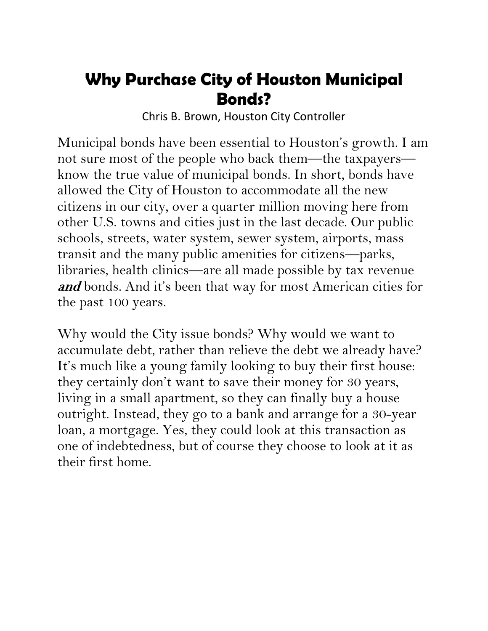## **Why Purchase City of Houston Municipal Bonds?**

Chris B. Brown, Houston City Controller

Municipal bonds have been essential to Houston's growth. I am not sure most of the people who back them—the taxpayers know the true value of municipal bonds. In short, bonds have allowed the City of Houston to accommodate all the new citizens in our city, over a quarter million moving here from other U.S. towns and cities just in the last decade. Our public schools, streets, water system, sewer system, airports, mass transit and the many public amenities for citizens—parks, libraries, health clinics—are all made possible by tax revenue and bonds. And it's been that way for most American cities for the past 100 years.

Why would the City issue bonds? Why would we want to accumulate debt, rather than relieve the debt we already have? It's much like a young family looking to buy their first house: they certainly don't want to save their money for 30 years, living in a small apartment, so they can finally buy a house outright. Instead, they go to a bank and arrange for a 30-year loan, a mortgage. Yes, they could look at this transaction as one of indebtedness, but of course they choose to look at it as their first home.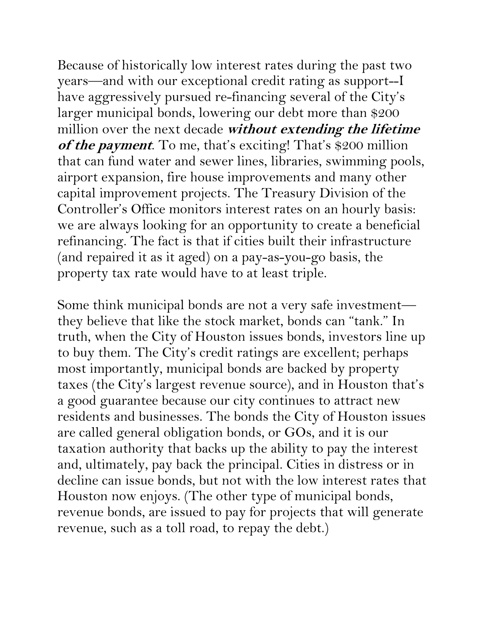Because of historically low interest rates during the past two years—and with our exceptional credit rating as support--I have aggressively pursued re-financing several of the City's larger municipal bonds, lowering our debt more than \$200 million over the next decade **without extending the lifetime**  of the payment. To me, that's exciting! That's \$200 million that can fund water and sewer lines, libraries, swimming pools, airport expansion, fire house improvements and many other capital improvement projects. The Treasury Division of the Controller's Office monitors interest rates on an hourly basis: we are always looking for an opportunity to create a beneficial refinancing. The fact is that if cities built their infrastructure (and repaired it as it aged) on a pay-as-you-go basis, the property tax rate would have to at least triple.

Some think municipal bonds are not a very safe investment they believe that like the stock market, bonds can "tank." In truth, when the City of Houston issues bonds, investors line up to buy them. The City's credit ratings are excellent; perhaps most importantly, municipal bonds are backed by property taxes (the City's largest revenue source), and in Houston that's a good guarantee because our city continues to attract new residents and businesses. The bonds the City of Houston issues are called general obligation bonds, or GOs, and it is our taxation authority that backs up the ability to pay the interest and, ultimately, pay back the principal. Cities in distress or in decline can issue bonds, but not with the low interest rates that Houston now enjoys. (The other type of municipal bonds, revenue bonds, are issued to pay for projects that will generate revenue, such as a toll road, to repay the debt.)